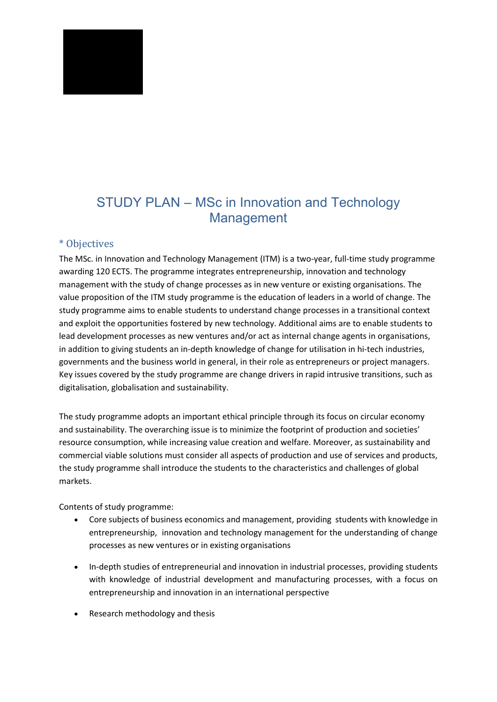# STUDY PLAN – MSc in Innovation and Technology Management

## \* Objectives

The MSc. in Innovation and Technology Management (ITM) is a two-year, full-time study programme awarding 120 ECTS. The programme integrates entrepreneurship, innovation and technology management with the study of change processes as in new venture or existing organisations. The value proposition of the ITM study programme is the education of leaders in a world of change. The study programme aims to enable students to understand change processes in a transitional context and exploit the opportunities fostered by new technology. Additional aims are to enable students to lead development processes as new ventures and/or act as internal change agents in organisations, in addition to giving students an in-depth knowledge of change for utilisation in hi-tech industries, governments and the business world in general, in their role as entrepreneurs or project managers. Key issues covered by the study programme are change drivers in rapid intrusive transitions, such as digitalisation, globalisation and sustainability.

The study programme adopts an important ethical principle through its focus on circular economy and sustainability. The overarching issue is to minimize the footprint of production and societies' resource consumption, while increasing value creation and welfare. Moreover, as sustainability and commercial viable solutions must consider all aspects of production and use of services and products, the study programme shall introduce the students to the characteristics and challenges of global markets.

Contents of study programme:

- Core subjects of business economics and management, providing students with knowledge in entrepreneurship, innovation and technology management for the understanding of change processes as new ventures or in existing organisations
- In-depth studies of entrepreneurial and innovation in industrial processes, providing students with knowledge of industrial development and manufacturing processes, with a focus on entrepreneurship and innovation in an international perspective
- Research methodology and thesis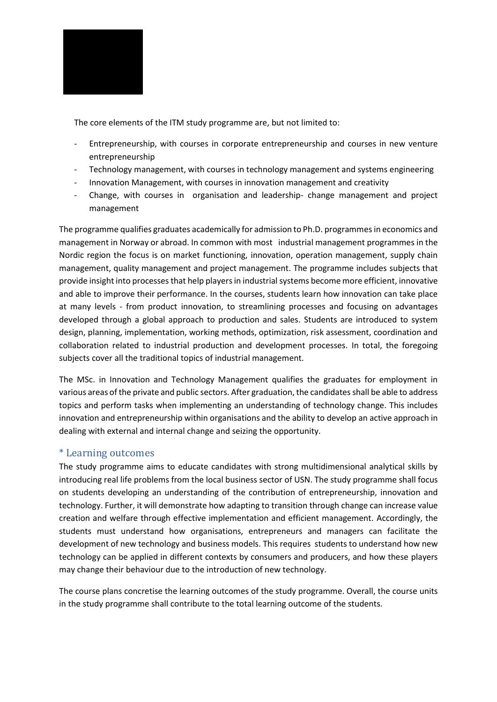

The core elements of the ITM study programme are, but not limited to:

- Entrepreneurship, with courses in corporate entrepreneurship and courses in new venture entrepreneurship
- Technology management, with courses in technology management and systems engineering
- Innovation Management, with courses in innovation management and creativity
- Change, with courses in organisation and leadership- change management and project management

The programme qualifies graduates academically for admission to Ph.D. programmes in economics and management in Norway or abroad. In common with most industrial management programmes in the Nordic region the focus is on market functioning, innovation, operation management, supply chain management, quality management and project management. The programme includes subjects that provide insight into processes that help players in industrial systems become more efficient, innovative and able to improve their performance. In the courses, students learn how innovation can take place at many levels - from product innovation, to streamlining processes and focusing on advantages developed through a global approach to production and sales. Students are introduced to system design, planning, implementation, working methods, optimization, risk assessment, coordination and collaboration related to industrial production and development processes. In total, the foregoing subjects cover all the traditional topics of industrial management.

The MSc. in Innovation and Technology Management qualifies the graduates for employment in various areas of the private and public sectors. After graduation, the candidates shall be able to address topics and perform tasks when implementing an understanding of technology change. This includes innovation and entrepreneurship within organisations and the ability to develop an active approach in dealing with external and internal change and seizing the opportunity.

## \* Learning outcomes

The study programme aims to educate candidates with strong multidimensional analytical skills by introducing real life problems from the local business sector of USN. The study programme shall focus on students developing an understanding of the contribution of entrepreneurship, innovation and technology. Further, it will demonstrate how adapting to transition through change can increase value creation and welfare through effective implementation and efficient management. Accordingly, the students must understand how organisations, entrepreneurs and managers can facilitate the development of new technology and business models. This requires students to understand how new technology can be applied in different contexts by consumers and producers, and how these players may change their behaviour due to the introduction of new technology.

The course plans concretise the learning outcomes of the study programme. Overall, the course units in the study programme shall contribute to the total learning outcome of the students.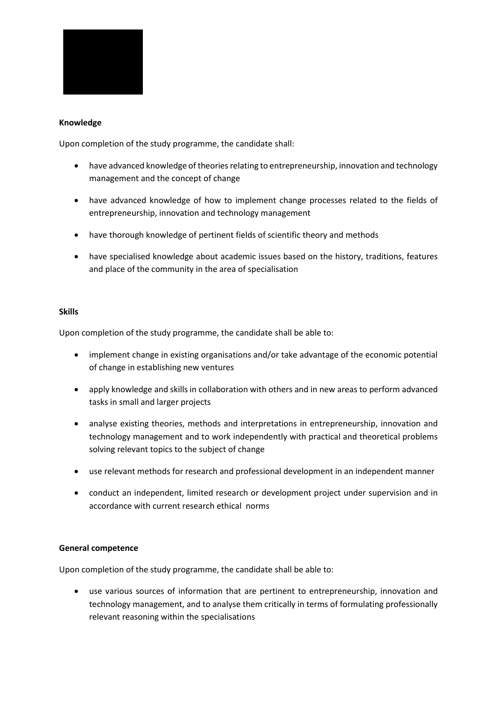

#### **Knowledge**

Upon completion of the study programme, the candidate shall:

- have advanced knowledge of theories relating to entrepreneurship, innovation and technology management and the concept of change
- have advanced knowledge of how to implement change processes related to the fields of entrepreneurship, innovation and technology management
- have thorough knowledge of pertinent fields of scientific theory and methods
- have specialised knowledge about academic issues based on the history, traditions, features and place of the community in the area of specialisation

#### **Skills**

Upon completion of the study programme, the candidate shall be able to:

- implement change in existing organisations and/or take advantage of the economic potential of change in establishing new ventures
- apply knowledge and skills in collaboration with others and in new areas to perform advanced tasks in small and larger projects
- analyse existing theories, methods and interpretations in entrepreneurship, innovation and technology management and to work independently with practical and theoretical problems solving relevant topics to the subject of change
- use relevant methods for research and professional development in an independent manner
- conduct an independent, limited research or development project under supervision and in accordance with current research ethical norms

#### **General competence**

Upon completion of the study programme, the candidate shall be able to:

 use various sources of information that are pertinent to entrepreneurship, innovation and technology management, and to analyse them critically in terms of formulating professionally relevant reasoning within the specialisations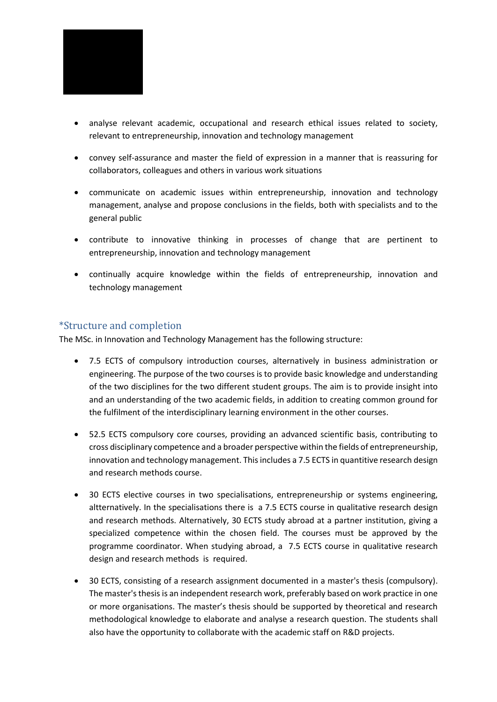

- analyse relevant academic, occupational and research ethical issues related to society, relevant to entrepreneurship, innovation and technology management
- convey self-assurance and master the field of expression in a manner that is reassuring for collaborators, colleagues and others in various work situations
- communicate on academic issues within entrepreneurship, innovation and technology management, analyse and propose conclusions in the fields, both with specialists and to the general public
- contribute to innovative thinking in processes of change that are pertinent to entrepreneurship, innovation and technology management
- continually acquire knowledge within the fields of entrepreneurship, innovation and technology management

## \*Structure and completion

The MSc. in Innovation and Technology Management has the following structure:

- 7.5 ECTS of compulsory introduction courses, alternatively in business administration or engineering. The purpose of the two courses is to provide basic knowledge and understanding of the two disciplines for the two different student groups. The aim is to provide insight into and an understanding of the two academic fields, in addition to creating common ground for the fulfilment of the interdisciplinary learning environment in the other courses.
- 52.5 ECTS compulsory core courses, providing an advanced scientific basis, contributing to cross disciplinary competence and a broader perspective within the fields of entrepreneurship, innovation and technology management. This includes a 7.5 ECTS in quantitive research design and research methods course.
- 30 ECTS elective courses in two specialisations, entrepreneurship or systems engineering, altternatively. In the specialisations there is a 7.5 ECTS course in qualitative research design and research methods. Alternatively, 30 ECTS study abroad at a partner institution, giving a specialized competence within the chosen field. The courses must be approved by the programme coordinator. When studying abroad, a 7.5 ECTS course in qualitative research design and research methods is required.
- 30 ECTS, consisting of a research assignment documented in a master's thesis (compulsory). The master's thesis is an independent research work, preferably based on work practice in one or more organisations. The master's thesis should be supported by theoretical and research methodological knowledge to elaborate and analyse a research question. The students shall also have the opportunity to collaborate with the academic staff on R&D projects.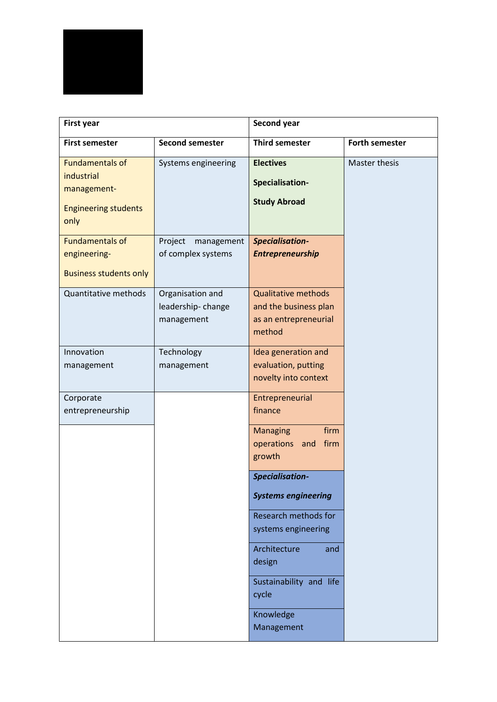

| <b>First year</b>                                                                          |                                                     | Second year                                                                            |                       |
|--------------------------------------------------------------------------------------------|-----------------------------------------------------|----------------------------------------------------------------------------------------|-----------------------|
| <b>First semester</b>                                                                      | <b>Second semester</b>                              | <b>Third semester</b>                                                                  | <b>Forth semester</b> |
| <b>Fundamentals of</b><br>industrial<br>management-<br><b>Engineering students</b><br>only | Systems engineering                                 | <b>Electives</b><br>Specialisation-<br><b>Study Abroad</b>                             | Master thesis         |
| <b>Fundamentals of</b><br>engineering-<br><b>Business students only</b>                    | Project<br>management<br>of complex systems         | Specialisation-<br><b>Entrepreneurship</b>                                             |                       |
| Quantitative methods                                                                       | Organisation and<br>leadership-change<br>management | <b>Qualitative methods</b><br>and the business plan<br>as an entrepreneurial<br>method |                       |
| Innovation<br>management                                                                   | Technology<br>management                            | Idea generation and<br>evaluation, putting<br>novelty into context                     |                       |
| Corporate<br>entrepreneurship                                                              |                                                     | Entrepreneurial<br>finance                                                             |                       |
|                                                                                            |                                                     | firm<br><b>Managing</b><br>operations<br>firm<br>and<br>growth                         |                       |
|                                                                                            |                                                     | Specialisation-                                                                        |                       |
|                                                                                            |                                                     | <b>Systems engineering</b>                                                             |                       |
|                                                                                            |                                                     | Research methods for<br>systems engineering                                            |                       |
|                                                                                            |                                                     | Architecture<br>and<br>design                                                          |                       |
|                                                                                            |                                                     | Sustainability and life<br>cycle                                                       |                       |
|                                                                                            |                                                     | Knowledge<br>Management                                                                |                       |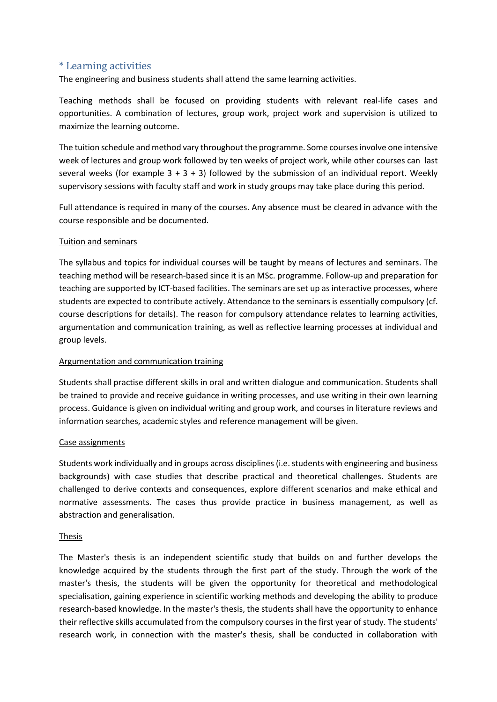## \* Learning activities

The engineering and business students shall attend the same learning activities.

Teaching methods shall be focused on providing students with relevant real-life cases and opportunities. A combination of lectures, group work, project work and supervision is utilized to maximize the learning outcome.

The tuition schedule and method vary throughout the programme. Some courses involve one intensive week of lectures and group work followed by ten weeks of project work, while other courses can last several weeks (for example  $3 + 3 + 3$ ) followed by the submission of an individual report. Weekly supervisory sessions with faculty staff and work in study groups may take place during this period.

Full attendance is required in many of the courses. Any absence must be cleared in advance with the course responsible and be documented.

#### Tuition and seminars

The syllabus and topics for individual courses will be taught by means of lectures and seminars. The teaching method will be research-based since it is an MSc. programme. Follow-up and preparation for teaching are supported by ICT-based facilities. The seminars are set up as interactive processes, where students are expected to contribute actively. Attendance to the seminars is essentially compulsory (cf. course descriptions for details). The reason for compulsory attendance relates to learning activities, argumentation and communication training, as well as reflective learning processes at individual and group levels.

#### Argumentation and communication training

Students shall practise different skills in oral and written dialogue and communication. Students shall be trained to provide and receive guidance in writing processes, and use writing in their own learning process. Guidance is given on individual writing and group work, and courses in literature reviews and information searches, academic styles and reference management will be given.

#### Case assignments

Students work individually and in groups across disciplines (i.e. students with engineering and business backgrounds) with case studies that describe practical and theoretical challenges. Students are challenged to derive contexts and consequences, explore different scenarios and make ethical and normative assessments. The cases thus provide practice in business management, as well as abstraction and generalisation.

#### Thesis

The Master's thesis is an independent scientific study that builds on and further develops the knowledge acquired by the students through the first part of the study. Through the work of the master's thesis, the students will be given the opportunity for theoretical and methodological specialisation, gaining experience in scientific working methods and developing the ability to produce research-based knowledge. In the master's thesis, the students shall have the opportunity to enhance their reflective skills accumulated from the compulsory courses in the first year of study. The students' research work, in connection with the master's thesis, shall be conducted in collaboration with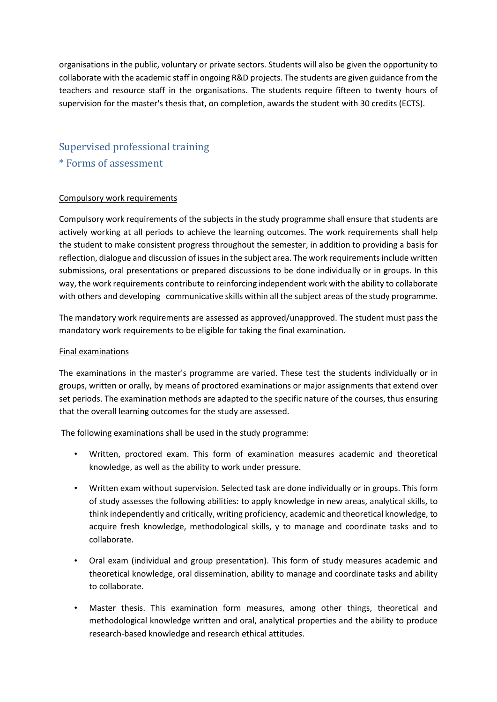organisations in the public, voluntary or private sectors. Students will also be given the opportunity to collaborate with the academic staff in ongoing R&D projects. The students are given guidance from the teachers and resource staff in the organisations. The students require fifteen to twenty hours of supervision for the master's thesis that, on completion, awards the student with 30 credits (ECTS).

## Supervised professional training \* Forms of assessment

#### Compulsory work requirements

Compulsory work requirements of the subjects in the study programme shall ensure that students are actively working at all periods to achieve the learning outcomes. The work requirements shall help the student to make consistent progress throughout the semester, in addition to providing a basis for reflection, dialogue and discussion of issues in the subject area. The work requirements include written submissions, oral presentations or prepared discussions to be done individually or in groups. In this way, the work requirements contribute to reinforcing independent work with the ability to collaborate with others and developing communicative skills within all the subject areas of the study programme.

The mandatory work requirements are assessed as approved/unapproved. The student must pass the mandatory work requirements to be eligible for taking the final examination.

#### Final examinations

The examinations in the master's programme are varied. These test the students individually or in groups, written or orally, by means of proctored examinations or major assignments that extend over set periods. The examination methods are adapted to the specific nature of the courses, thus ensuring that the overall learning outcomes for the study are assessed.

The following examinations shall be used in the study programme:

- Written, proctored exam. This form of examination measures academic and theoretical knowledge, as well as the ability to work under pressure.
- Written exam without supervision. Selected task are done individually or in groups. This form of study assesses the following abilities: to apply knowledge in new areas, analytical skills, to think independently and critically, writing proficiency, academic and theoretical knowledge, to acquire fresh knowledge, methodological skills, y to manage and coordinate tasks and to collaborate.
- Oral exam (individual and group presentation). This form of study measures academic and theoretical knowledge, oral dissemination, ability to manage and coordinate tasks and ability to collaborate.
- Master thesis. This examination form measures, among other things, theoretical and methodological knowledge written and oral, analytical properties and the ability to produce research-based knowledge and research ethical attitudes.